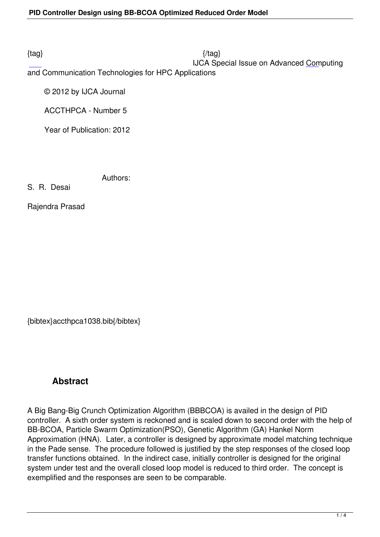## IJCA Special Issue on Advanced Computing

and Communication Technologies for HPC Applications

© 2012 by IJCA Journal

ACCTHPCA - Number 5

Year of Publication: 2012

Authors:

S. R. Desai

Rajendra Prasad

{bibtex}accthpca1038.bib{/bibtex}

# **Abstract**

A Big Bang-Big Crunch Optimization Algorithm (BBBCOA) is availed in the design of PID controller. A sixth order system is reckoned and is scaled down to second order with the help of BB-BCOA, Particle Swarm Optimization(PSO), Genetic Algorithm (GA) Hankel Norm Approximation (HNA). Later, a controller is designed by approximate model matching technique in the Pade sense. The procedure followed is justified by the step responses of the closed loop transfer functions obtained. In the indirect case, initially controller is designed for the original system under test and the overall closed loop model is reduced to third order. The concept is exemplified and the responses are seen to be comparable.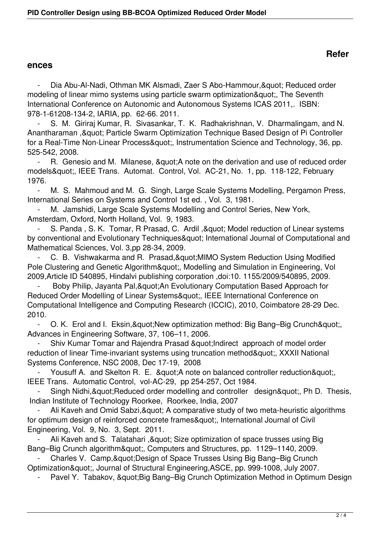### **ences**

Dia Abu-Al-Nadi, Othman MK Alsmadi, Zaer S Abo-Hammour, & quot; Reduced order modeling of linear mimo systems using particle swarm optimization", The Seventh International Conference on Autonomic and Autonomous Systems ICAS 2011,. ISBN: 978-1-61208-134-2, IARIA, pp. 62-66. 2011.

S. M. Giriraj Kumar, R. Sivasankar, T. K. Radhakrishnan, V. Dharmalingam, and N. Anantharaman , & quot; Particle Swarm Optimization Technique Based Design of Pi Controller for a Real-Time Non-Linear Process", Instrumentation Science and Technology, 36, pp. 525-542, 2008.

R. Genesio and M. Milanese, & quot; A note on the derivation and use of reduced order models", IEEE Trans. Automat. Control, Vol. AC-21, No. 1, pp. 118-122, February 1976.

M. S. Mahmoud and M. G. Singh, Large Scale Systems Modelling, Pergamon Press, International Series on Systems and Control 1st ed. , Vol. 3, 1981.

M. Jamshidi, Large Scale Systems Modelling and Control Series, New York, Amsterdam, Oxford, North Holland, Vol. 9, 1983.

S. Panda, S. K. Tomar, R Prasad, C. Ardil, " Model reduction of Linear systems by conventional and Evolutionary Techniques" International Journal of Computational and Mathematical Sciences, Vol. 3,pp 28-34, 2009.

C. B. Vishwakarma and R. Prasad, & quot; MIMO System Reduction Using Modified Pole Clustering and Genetic Algorithm", Modelling and Simulation in Engineering, Vol 2009,Article ID 540895, Hindalvi publishing corporation ,doi:10. 1155/2009/540895, 2009.

Boby Philip, Jayanta Pal, & quot; An Evolutionary Computation Based Approach for Reduced Order Modelling of Linear Systems", IEEE International Conference on Computational Intelligence and Computing Research (ICCIC), 2010, Coimbatore 28-29 Dec. 2010.

- O. K. Erol and I. Eksin, & auot: New optimization method: Big Bang–Big Crunch & quot: Advances in Engineering Software, 37, 106–11, 2006.

Shiv Kumar Tomar and Rajendra Prasad " Indirect approach of model order reduction of linear Time-invariant systems using truncation method", XXXII National Systems Conference, NSC 2008, Dec 17-19, 2008

Yousuff A. and Skelton R. E. & quot; A note on balanced controller reduction & quot; IEEE Trans. Automatic Control, vol-AC-29, pp 254-257, Oct 1984.

Singh Nidhi, & quot; Reduced order modelling and controller design & quot;, Ph D. Thesis, Indian Institute of Technology Roorkee, Roorkee, India, 2007

Ali Kaveh and Omid Sabzi, & auot; A comparative study of two meta-heuristic algorithms for optimum design of reinforced concrete frames", International Journal of Civil Engineering, Vol. 9, No. 3, Sept. 2011.

Ali Kaveh and S. Talatahari , & quot; Size optimization of space trusses using Big Bang–Big Crunch algorithm", Computers and Structures, pp. 1129–1140, 2009.

Charles V. Camp, & quot; Design of Space Trusses Using Big Bang–Big Crunch Optimization", Journal of Structural Engineering,ASCE, pp. 999-1008, July 2007.

Pavel Y. Tabakov, & quot; Big Bang–Big Crunch Optimization Method in Optimum Design

## **Refer**